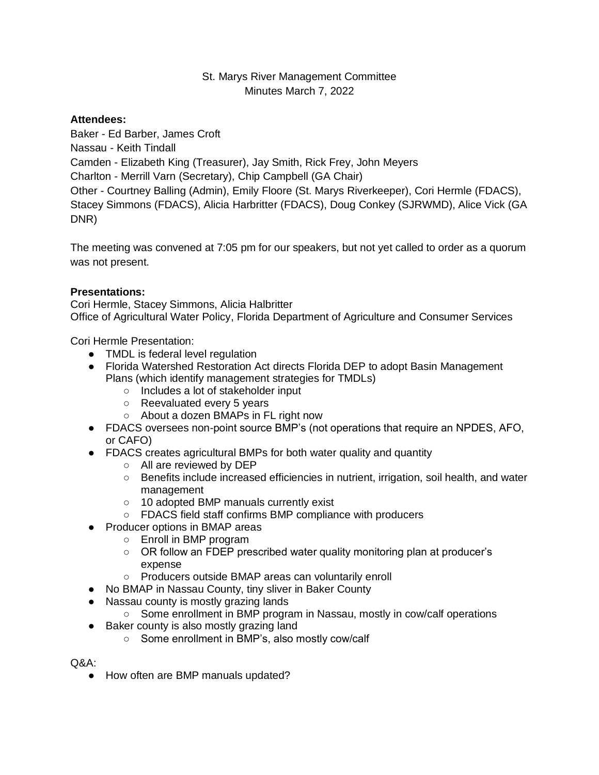# St. Marys River Management Committee Minutes March 7, 2022

## **Attendees:**

Baker - Ed Barber, James Croft

Nassau - Keith Tindall

Camden - Elizabeth King (Treasurer), Jay Smith, Rick Frey, John Meyers

Charlton - Merrill Varn (Secretary), Chip Campbell (GA Chair)

Other - Courtney Balling (Admin), Emily Floore (St. Marys Riverkeeper), Cori Hermle (FDACS), Stacey Simmons (FDACS), Alicia Harbritter (FDACS), Doug Conkey (SJRWMD), Alice Vick (GA DNR)

The meeting was convened at 7:05 pm for our speakers, but not yet called to order as a quorum was not present.

## **Presentations:**

Cori Hermle, Stacey Simmons, Alicia Halbritter Office of Agricultural Water Policy, Florida Department of Agriculture and Consumer Services

Cori Hermle Presentation:

- TMDL is federal level regulation
- Florida Watershed Restoration Act directs Florida DEP to adopt Basin Management Plans (which identify management strategies for TMDLs)
	- Includes a lot of stakeholder input
	- Reevaluated every 5 years
	- About a dozen BMAPs in FL right now
- FDACS oversees non-point source BMP's (not operations that require an NPDES, AFO, or CAFO)
- FDACS creates agricultural BMPs for both water quality and quantity
	- All are reviewed by DEP
	- Benefits include increased efficiencies in nutrient, irrigation, soil health, and water management
	- 10 adopted BMP manuals currently exist
	- FDACS field staff confirms BMP compliance with producers
- Producer options in BMAP areas
	- Enroll in BMP program
	- OR follow an FDEP prescribed water quality monitoring plan at producer's expense
	- Producers outside BMAP areas can voluntarily enroll
- No BMAP in Nassau County, tiny sliver in Baker County
- Nassau county is mostly grazing lands
	- Some enrollment in BMP program in Nassau, mostly in cow/calf operations
- Baker county is also mostly grazing land
	- Some enrollment in BMP's, also mostly cow/calf

Q&A:

● How often are BMP manuals updated?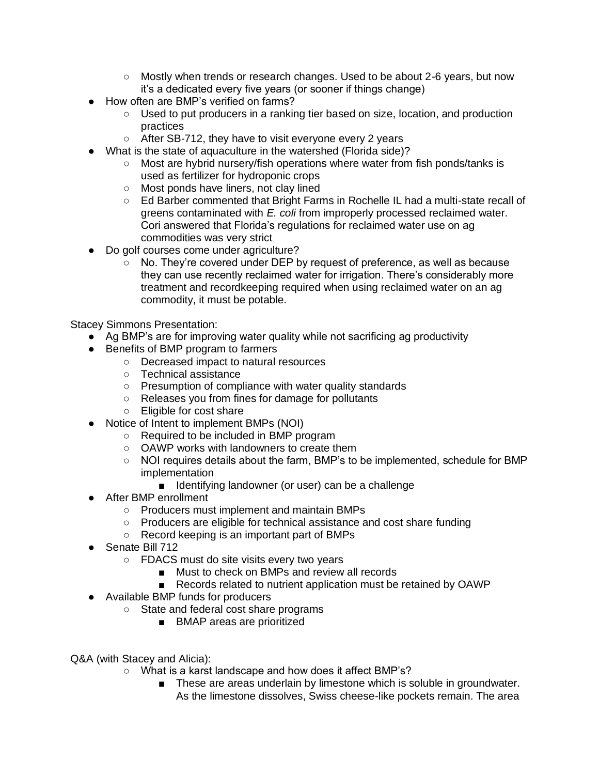- Mostly when trends or research changes. Used to be about 2-6 years, but now it's a dedicated every five years (or sooner if things change)
- How often are BMP's verified on farms?
	- Used to put producers in a ranking tier based on size, location, and production practices
	- After SB-712, they have to visit everyone every 2 years
- What is the state of aquaculture in the watershed (Florida side)?
	- Most are hybrid nursery/fish operations where water from fish ponds/tanks is used as fertilizer for hydroponic crops
	- Most ponds have liners, not clay lined
	- Ed Barber commented that Bright Farms in Rochelle IL had a multi-state recall of greens contaminated with *E. coli* from improperly processed reclaimed water. Cori answered that Florida's regulations for reclaimed water use on ag commodities was very strict
- Do golf courses come under agriculture?
	- No. They're covered under DEP by request of preference, as well as because they can use recently reclaimed water for irrigation. There's considerably more treatment and recordkeeping required when using reclaimed water on an ag commodity, it must be potable.

Stacey Simmons Presentation:

- Ag BMP's are for improving water quality while not sacrificing ag productivity
- Benefits of BMP program to farmers
	- Decreased impact to natural resources
	- Technical assistance
	- Presumption of compliance with water quality standards
	- Releases you from fines for damage for pollutants
	- Eligible for cost share
- Notice of Intent to implement BMPs (NOI)
	- Required to be included in BMP program
	- OAWP works with landowners to create them
	- NOI requires details about the farm, BMP's to be implemented, schedule for BMP implementation
		- Identifying landowner (or user) can be a challenge
- After BMP enrollment
	- Producers must implement and maintain BMPs
	- Producers are eligible for technical assistance and cost share funding
	- Record keeping is an important part of BMPs
- Senate Bill 712
	- FDACS must do site visits every two years
		- Must to check on BMPs and review all records
		- Records related to nutrient application must be retained by OAWP
- Available BMP funds for producers
	- State and federal cost share programs
		- BMAP areas are prioritized
- Q&A (with Stacey and Alicia):
	- What is a karst landscape and how does it affect BMP's?
		- These are areas underlain by limestone which is soluble in groundwater. As the limestone dissolves, Swiss cheese-like pockets remain. The area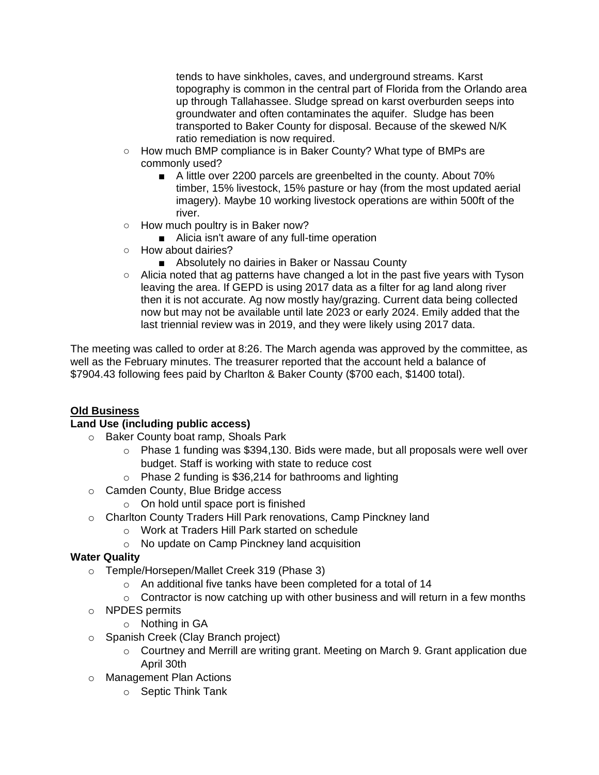tends to have sinkholes, caves, and underground streams. Karst topography is common in the central part of Florida from the Orlando area up through Tallahassee. Sludge spread on karst overburden seeps into groundwater and often contaminates the aquifer. Sludge has been transported to Baker County for disposal. Because of the skewed N/K ratio remediation is now required.

- How much BMP compliance is in Baker County? What type of BMPs are commonly used?
	- A little over 2200 parcels are greenbelted in the county. About 70% timber, 15% livestock, 15% pasture or hay (from the most updated aerial imagery). Maybe 10 working livestock operations are within 500ft of the river.
- How much poultry is in Baker now?
	- Alicia isn't aware of any full-time operation
- How about dairies?
	- Absolutely no dairies in Baker or Nassau County
- Alicia noted that ag patterns have changed a lot in the past five years with Tyson leaving the area. If GEPD is using 2017 data as a filter for ag land along river then it is not accurate. Ag now mostly hay/grazing. Current data being collected now but may not be available until late 2023 or early 2024. Emily added that the last triennial review was in 2019, and they were likely using 2017 data.

The meeting was called to order at 8:26. The March agenda was approved by the committee, as well as the February minutes. The treasurer reported that the account held a balance of \$7904.43 following fees paid by Charlton & Baker County (\$700 each, \$1400 total).

### **Old Business**

### **Land Use (including public access)**

- o Baker County boat ramp, Shoals Park
	- $\circ$  Phase 1 funding was \$394,130. Bids were made, but all proposals were well over budget. Staff is working with state to reduce cost
	- $\circ$  Phase 2 funding is \$36,214 for bathrooms and lighting
- o Camden County, Blue Bridge access
	- o On hold until space port is finished
- o Charlton County Traders Hill Park renovations, Camp Pinckney land
	- o Work at Traders Hill Park started on schedule
	- o No update on Camp Pinckney land acquisition

### **Water Quality**

- o Temple/Horsepen/Mallet Creek 319 (Phase 3)
	- o An additional five tanks have been completed for a total of 14
	- $\circ$  Contractor is now catching up with other business and will return in a few months
- o NPDES permits
	- o Nothing in GA
- o Spanish Creek (Clay Branch project)
	- $\circ$  Courtney and Merrill are writing grant. Meeting on March 9. Grant application due April 30th
- o Management Plan Actions
	- o Septic Think Tank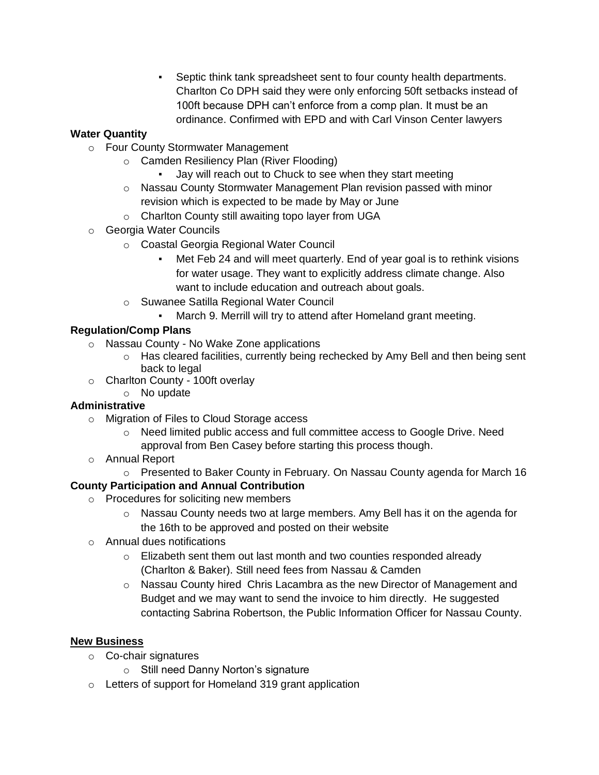▪ Septic think tank spreadsheet sent to four county health departments. Charlton Co DPH said they were only enforcing 50ft setbacks instead of 100ft because DPH can't enforce from a comp plan. It must be an ordinance. Confirmed with EPD and with Carl Vinson Center lawyers

# **Water Quantity**

- o Four County Stormwater Management
	- o Camden Resiliency Plan (River Flooding)
		- Jay will reach out to Chuck to see when they start meeting
	- o Nassau County Stormwater Management Plan revision passed with minor revision which is expected to be made by May or June
	- o Charlton County still awaiting topo layer from UGA
- o Georgia Water Councils
	- o Coastal Georgia Regional Water Council
		- Met Feb 24 and will meet quarterly. End of year goal is to rethink visions for water usage. They want to explicitly address climate change. Also want to include education and outreach about goals.
	- o Suwanee Satilla Regional Water Council
		- March 9. Merrill will try to attend after Homeland grant meeting.

# **Regulation/Comp Plans**

- o Nassau County No Wake Zone applications
	- o Has cleared facilities, currently being rechecked by Amy Bell and then being sent back to legal
- o Charlton County 100ft overlay
	- o No update

# **Administrative**

- o Migration of Files to Cloud Storage access
	- o Need limited public access and full committee access to Google Drive. Need approval from Ben Casey before starting this process though.
- o Annual Report
	- o Presented to Baker County in February. On Nassau County agenda for March 16

# **County Participation and Annual Contribution**

- o Procedures for soliciting new members
	- $\circ$  Nassau County needs two at large members. Amy Bell has it on the agenda for the 16th to be approved and posted on their website
- o Annual dues notifications
	- o Elizabeth sent them out last month and two counties responded already (Charlton & Baker). Still need fees from Nassau & Camden
	- $\circ$  Nassau County hired Chris Lacambra as the new Director of Management and Budget and we may want to send the invoice to him directly. He suggested contacting Sabrina Robertson, the Public Information Officer for Nassau County.

# **New Business**

- o Co-chair signatures
	- o Still need Danny Norton's signature
- o Letters of support for Homeland 319 grant application